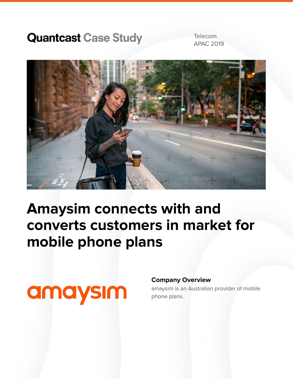### **Quantcast Case Study**

Telecom APAC 2019



## **Amaysim connects with and converts customers in market for mobile phone plans**

# amaysım

#### **Company Overview**

amaysim is an Australian provider of mobile phone plans.